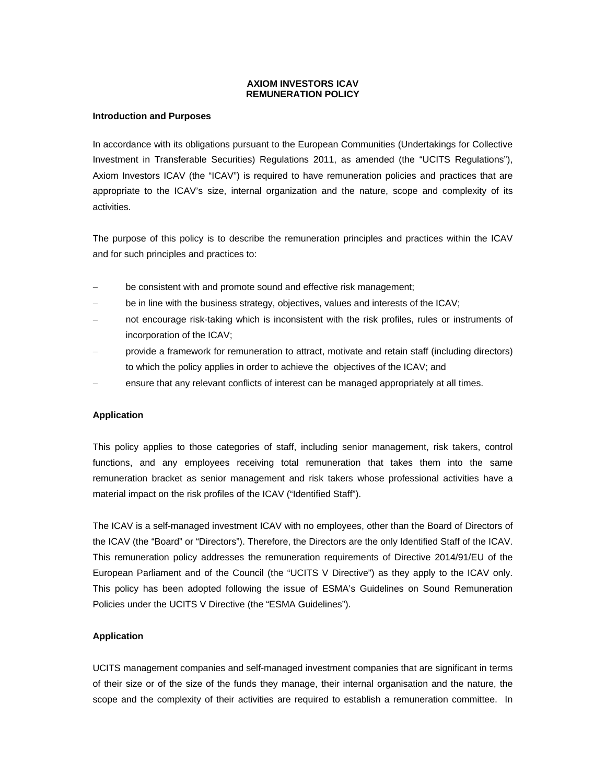## **AXIOM INVESTORS ICAV REMUNERATION POLICY**

### **Introduction and Purposes**

In accordance with its obligations pursuant to the European Communities (Undertakings for Collective Investment in Transferable Securities) Regulations 2011, as amended (the "UCITS Regulations"), Axiom Investors ICAV (the "ICAV") is required to have remuneration policies and practices that are appropriate to the ICAV's size, internal organization and the nature, scope and complexity of its activities.

The purpose of this policy is to describe the remuneration principles and practices within the ICAV and for such principles and practices to:

- be consistent with and promote sound and effective risk management;
- be in line with the business strategy, objectives, values and interests of the ICAV;
- not encourage risk-taking which is inconsistent with the risk profiles, rules or instruments of incorporation of the ICAV;
- provide a framework for remuneration to attract, motivate and retain staff (including directors) to which the policy applies in order to achieve the objectives of the ICAV; and
- ensure that any relevant conflicts of interest can be managed appropriately at all times.

# **Application**

This policy applies to those categories of staff, including senior management, risk takers, control functions, and any employees receiving total remuneration that takes them into the same remuneration bracket as senior management and risk takers whose professional activities have a material impact on the risk profiles of the ICAV ("Identified Staff").

The ICAV is a self-managed investment ICAV with no employees, other than the Board of Directors of the ICAV (the "Board" or "Directors"). Therefore, the Directors are the only Identified Staff of the ICAV. This remuneration policy addresses the remuneration requirements of Directive 2014/91/EU of the European Parliament and of the Council (the "UCITS V Directive") as they apply to the ICAV only. This policy has been adopted following the issue of ESMA's Guidelines on Sound Remuneration Policies under the UCITS V Directive (the "ESMA Guidelines").

# **Application**

UCITS management companies and self-managed investment companies that are significant in terms of their size or of the size of the funds they manage, their internal organisation and the nature, the scope and the complexity of their activities are required to establish a remuneration committee. In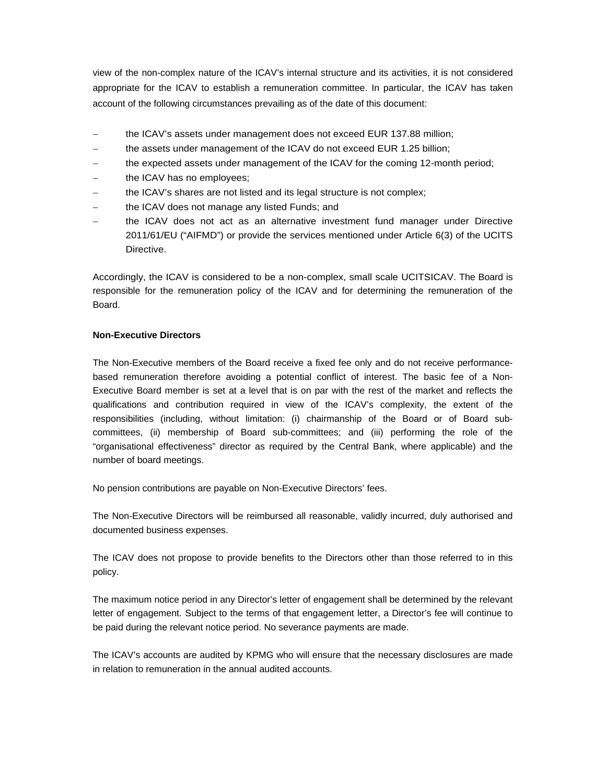view of the non-complex nature of the ICAV's internal structure and its activities, it is not considered appropriate for the ICAV to establish a remuneration committee. In particular, the ICAV has taken account of the following circumstances prevailing as of the date of this document:

- the ICAV's assets under management does not exceed EUR 137.88 million;
- the assets under management of the ICAV do not exceed EUR 1.25 billion;
- the expected assets under management of the ICAV for the coming 12-month period;
- the ICAV has no employees;
- the ICAV's shares are not listed and its legal structure is not complex;
- the ICAV does not manage any listed Funds; and
- the ICAV does not act as an alternative investment fund manager under Directive 2011/61/EU ("AIFMD") or provide the services mentioned under Article 6(3) of the UCITS Directive.

Accordingly, the ICAV is considered to be a non-complex, small scale UCITSICAV. The Board is responsible for the remuneration policy of the ICAV and for determining the remuneration of the Board.

## **Non-Executive Directors**

The Non-Executive members of the Board receive a fixed fee only and do not receive performancebased remuneration therefore avoiding a potential conflict of interest. The basic fee of a Non-Executive Board member is set at a level that is on par with the rest of the market and reflects the qualifications and contribution required in view of the ICAV's complexity, the extent of the responsibilities (including, without limitation: (i) chairmanship of the Board or of Board subcommittees, (ii) membership of Board sub-committees; and (iii) performing the role of the "organisational effectiveness" director as required by the Central Bank, where applicable) and the number of board meetings.

No pension contributions are payable on Non-Executive Directors' fees.

The Non-Executive Directors will be reimbursed all reasonable, validly incurred, duly authorised and documented business expenses.

The ICAV does not propose to provide benefits to the Directors other than those referred to in this policy.

The maximum notice period in any Director's letter of engagement shall be determined by the relevant letter of engagement. Subject to the terms of that engagement letter, a Director's fee will continue to be paid during the relevant notice period. No severance payments are made.

The ICAV's accounts are audited by KPMG who will ensure that the necessary disclosures are made in relation to remuneration in the annual audited accounts.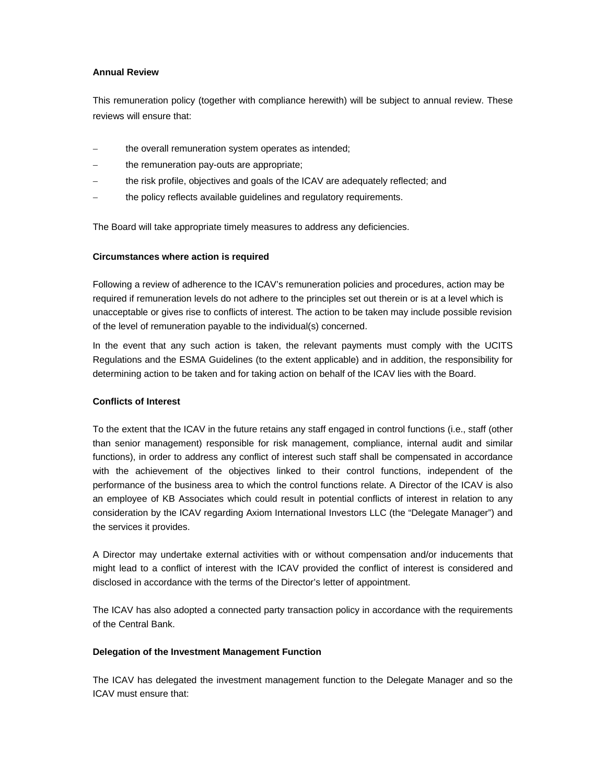## **Annual Review**

This remuneration policy (together with compliance herewith) will be subject to annual review. These reviews will ensure that:

- the overall remuneration system operates as intended;
- the remuneration pay-outs are appropriate;
- the risk profile, objectives and goals of the ICAV are adequately reflected; and
- the policy reflects available guidelines and regulatory requirements.

The Board will take appropriate timely measures to address any deficiencies.

# **Circumstances where action is required**

Following a review of adherence to the ICAV's remuneration policies and procedures, action may be required if remuneration levels do not adhere to the principles set out therein or is at a level which is unacceptable or gives rise to conflicts of interest. The action to be taken may include possible revision of the level of remuneration payable to the individual(s) concerned.

In the event that any such action is taken, the relevant payments must comply with the UCITS Regulations and the ESMA Guidelines (to the extent applicable) and in addition, the responsibility for determining action to be taken and for taking action on behalf of the ICAV lies with the Board.

# **Conflicts of Interest**

To the extent that the ICAV in the future retains any staff engaged in control functions (i.e., staff (other than senior management) responsible for risk management, compliance, internal audit and similar functions), in order to address any conflict of interest such staff shall be compensated in accordance with the achievement of the objectives linked to their control functions, independent of the performance of the business area to which the control functions relate. A Director of the ICAV is also an employee of KB Associates which could result in potential conflicts of interest in relation to any consideration by the ICAV regarding Axiom International Investors LLC (the "Delegate Manager") and the services it provides.

A Director may undertake external activities with or without compensation and/or inducements that might lead to a conflict of interest with the ICAV provided the conflict of interest is considered and disclosed in accordance with the terms of the Director's letter of appointment.

The ICAV has also adopted a connected party transaction policy in accordance with the requirements of the Central Bank.

# **Delegation of the Investment Management Function**

The ICAV has delegated the investment management function to the Delegate Manager and so the ICAV must ensure that: